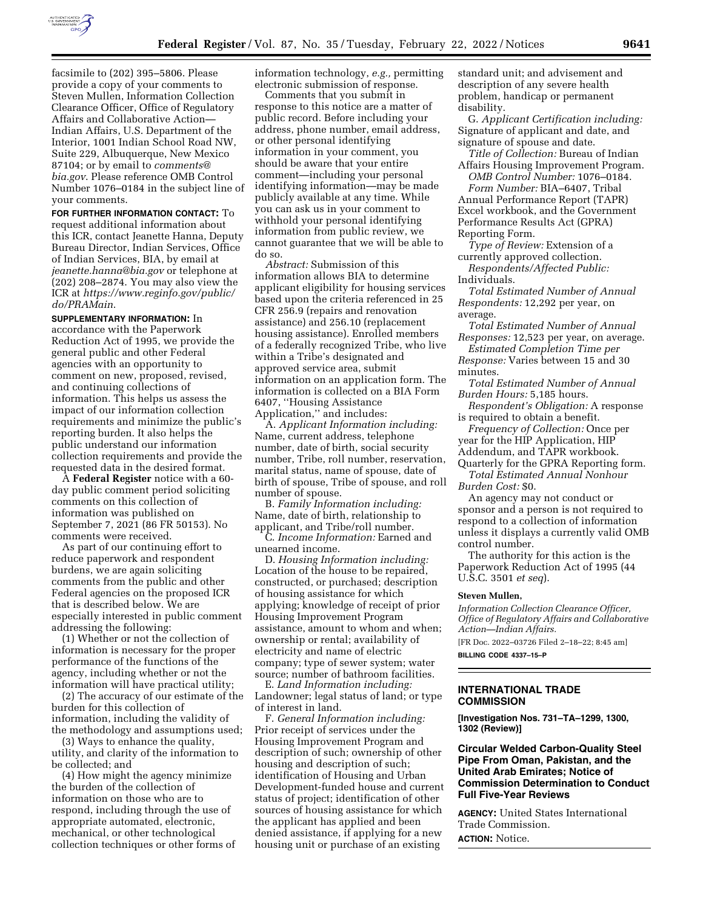

facsimile to (202) 395–5806. Please provide a copy of your comments to Steven Mullen, Information Collection Clearance Officer, Office of Regulatory Affairs and Collaborative Action— Indian Affairs, U.S. Department of the Interior, 1001 Indian School Road NW, Suite 229, Albuquerque, New Mexico 87104; or by email to *comments@ bia.gov*. Please reference OMB Control Number 1076–0184 in the subject line of your comments.

**FOR FURTHER INFORMATION CONTACT:** To request additional information about this ICR, contact Jeanette Hanna, Deputy Bureau Director, Indian Services, Office of Indian Services, BIA, by email at *jeanette.hanna@bia.gov* or telephone at (202) 208–2874. You may also view the ICR at *https://www.reginfo.gov/public/ do/PRAMain*.

**SUPPLEMENTARY INFORMATION:** In accordance with the Paperwork Reduction Act of 1995, we provide the general public and other Federal agencies with an opportunity to comment on new, proposed, revised, and continuing collections of information. This helps us assess the impact of our information collection requirements and minimize the public's reporting burden. It also helps the public understand our information collection requirements and provide the requested data in the desired format.

A **Federal Register** notice with a 60 day public comment period soliciting comments on this collection of information was published on September 7, 2021 (86 FR 50153). No comments were received.

As part of our continuing effort to reduce paperwork and respondent burdens, we are again soliciting comments from the public and other Federal agencies on the proposed ICR that is described below. We are especially interested in public comment addressing the following:

(1) Whether or not the collection of information is necessary for the proper performance of the functions of the agency, including whether or not the information will have practical utility;

(2) The accuracy of our estimate of the burden for this collection of information, including the validity of the methodology and assumptions used;

(3) Ways to enhance the quality, utility, and clarity of the information to be collected; and

(4) How might the agency minimize the burden of the collection of information on those who are to respond, including through the use of appropriate automated, electronic, mechanical, or other technological collection techniques or other forms of information technology, *e.g.,* permitting electronic submission of response.

Comments that you submit in response to this notice are a matter of public record. Before including your address, phone number, email address, or other personal identifying information in your comment, you should be aware that your entire comment—including your personal identifying information—may be made publicly available at any time. While you can ask us in your comment to withhold your personal identifying information from public review, we cannot guarantee that we will be able to do so.

*Abstract:* Submission of this information allows BIA to determine applicant eligibility for housing services based upon the criteria referenced in 25 CFR 256.9 (repairs and renovation assistance) and 256.10 (replacement housing assistance). Enrolled members of a federally recognized Tribe, who live within a Tribe's designated and approved service area, submit information on an application form. The information is collected on a BIA Form 6407, ''Housing Assistance Application,'' and includes:

A. *Applicant Information including:*  Name, current address, telephone number, date of birth, social security number, Tribe, roll number, reservation, marital status, name of spouse, date of birth of spouse, Tribe of spouse, and roll number of spouse.

B. *Family Information including:*  Name, date of birth, relationship to applicant, and Tribe/roll number.

C. *Income Information:* Earned and unearned income.

D. *Housing Information including:*  Location of the house to be repaired, constructed, or purchased; description of housing assistance for which applying; knowledge of receipt of prior Housing Improvement Program assistance, amount to whom and when; ownership or rental; availability of electricity and name of electric company; type of sewer system; water source; number of bathroom facilities.

E. *Land Information including:*  Landowner; legal status of land; or type of interest in land.

F. *General Information including:*  Prior receipt of services under the Housing Improvement Program and description of such; ownership of other housing and description of such; identification of Housing and Urban Development-funded house and current status of project; identification of other sources of housing assistance for which the applicant has applied and been denied assistance, if applying for a new housing unit or purchase of an existing

standard unit; and advisement and description of any severe health problem, handicap or permanent disability.

G. *Applicant Certification including:*  Signature of applicant and date, and signature of spouse and date.

*Title of Collection:* Bureau of Indian Affairs Housing Improvement Program.

*OMB Control Number:* 1076–0184. *Form Number:* BIA–6407, Tribal Annual Performance Report (TAPR)

Excel workbook, and the Government Performance Results Act (GPRA) Reporting Form.

*Type of Review:* Extension of a currently approved collection.

*Respondents/Affected Public:*  Individuals.

*Total Estimated Number of Annual Respondents:* 12,292 per year, on average.

*Total Estimated Number of Annual Responses:* 12,523 per year, on average.

*Estimated Completion Time per Response:* Varies between 15 and 30 minutes.

*Total Estimated Number of Annual Burden Hours:* 5,185 hours.

*Respondent's Obligation:* A response is required to obtain a benefit.

*Frequency of Collection:* Once per year for the HIP Application, HIP Addendum, and TAPR workbook. Quarterly for the GPRA Reporting form.

*Total Estimated Annual Nonhour Burden Cost:* \$0.

An agency may not conduct or sponsor and a person is not required to respond to a collection of information unless it displays a currently valid OMB control number.

The authority for this action is the Paperwork Reduction Act of 1995 (44 U.S.C. 3501 *et seq*).

#### **Steven Mullen,**

*Information Collection Clearance Officer, Office of Regulatory Affairs and Collaborative Action—Indian Affairs.*  [FR Doc. 2022–03726 Filed 2–18–22; 8:45 am]

**BILLING CODE 4337–15–P** 

## **INTERNATIONAL TRADE COMMISSION**

**[Investigation Nos. 731–TA–1299, 1300, 1302 (Review)]** 

**Circular Welded Carbon-Quality Steel Pipe From Oman, Pakistan, and the United Arab Emirates; Notice of Commission Determination to Conduct Full Five-Year Reviews** 

**AGENCY:** United States International Trade Commission.

**ACTION:** Notice.